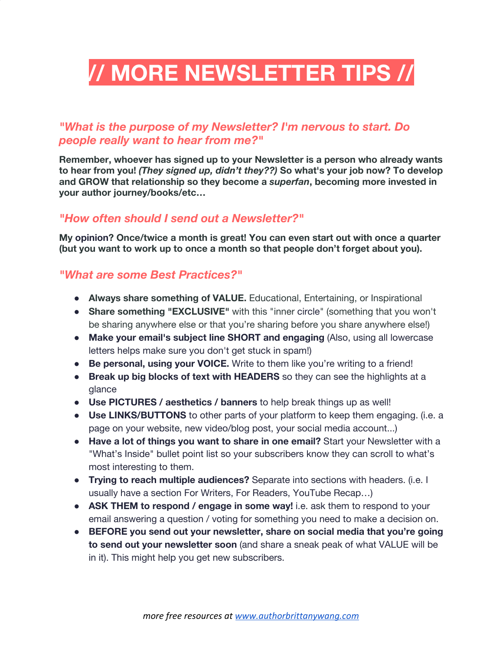# **// MORE NEWSLETTER TIPS //**

# *"What is the purpose of my Newsletter? I'm nervous to start. Do people really want to hear from me?"*

**Remember, whoever has signed up to your Newsletter is a person who already wants to hear from you!** *(They signed up, didn't they??)* **So what's your job now? To develop and GROW that relationship so they become a** *superfan***, becoming more invested in your author journey/books/etc…**

## *"How often should I send out a Newsletter?"*

**My opinion? Once/twice a month is great! You can even start out with once a quarter (but you want to work up to once a month so that people don't forget about you).**

## *"What are some Best Practices?"*

- **Always share something of VALUE.** Educational, Entertaining, or Inspirational
- **Share something "EXCLUSIVE"** with this "inner circle" (something that you won't be sharing anywhere else or that you're sharing before you share anywhere else!)
- **Make your email's subject line SHORT and engaging** (Also, using all lowercase letters helps make sure you don't get stuck in spam!)
- **Be personal, using your VOICE.** Write to them like you're writing to a friend!
- **Break up big blocks of text with HEADERS** so they can see the highlights at a glance
- **Use PICTURES / aesthetics / banners** to help break things up as well!
- **Use LINKS/BUTTONS** to other parts of your platform to keep them engaging. (i.e. a page on your website, new video/blog post, your social media account...)
- **Have a lot of things you want to share in one email?** Start your Newsletter with a "What's Inside" bullet point list so your subscribers know they can scroll to what's most interesting to them.
- **Trying to reach multiple audiences?** Separate into sections with headers. (i.e. I usually have a section For Writers, For Readers, YouTube Recap…)
- **ASK THEM to respond / engage in some way!** i.e. ask them to respond to your email answering a question / voting for something you need to make a decision on.
- **BEFORE you send out your newsletter, share on social media that you're going to send out your newsletter soon** (and share a sneak peak of what VALUE will be in it). This might help you get new subscribers.